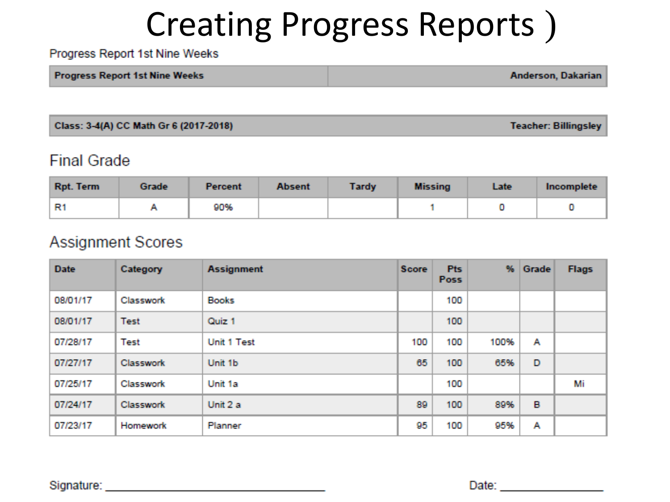# Creating Progress Reports )

Progress Report 1st Nine Weeks

| <b>Progress Report 1st Nine Weeks</b> | Anderson, Dakarian |
|---------------------------------------|--------------------|
|---------------------------------------|--------------------|

Class: 3-4(A) CC Math Gr 6 (2017-2018)

**Teacher: Billingsley** 

#### **Final Grade**

| Rpt. Term | Grade | <b>Percent</b> | <b>Absent</b> | <b>Tardy</b> | <b>Missing</b> | Late | Incomplete |
|-----------|-------|----------------|---------------|--------------|----------------|------|------------|
| R1        |       | 90%            |               |              |                |      |            |

#### **Assignment Scores**

| <b>Date</b> | Category    | <b>Assignment</b> | <b>Score</b> | <b>Pts</b><br><b>Poss</b> | %    | Grade | <b>Flags</b> |
|-------------|-------------|-------------------|--------------|---------------------------|------|-------|--------------|
| 08/01/17    | Classwork   | <b>Books</b>      |              | 100                       |      |       |              |
| 08/01/17    | Test        | Quiz 1            |              | 100                       |      |       |              |
| 07/28/17    | <b>Test</b> | Unit 1 Test       | 100          | 100                       | 100% | А     |              |
| 07/27/17    | Classwork   | Unit 1b           | 65           | 100                       | 65%  | D     |              |
| 07/25/17    | Classwork   | Unit 1a           |              | 100                       |      |       | Mi           |
| 07/24/17    | Classwork   | Unit 2 a          | 89           | 100                       | 89%  | в     |              |
| 07/23/17    | Homework    | Planner           | 95           | 100                       | 95%  | Α     |              |

Signature: \_\_\_\_\_\_\_\_\_\_

Date: **Date:**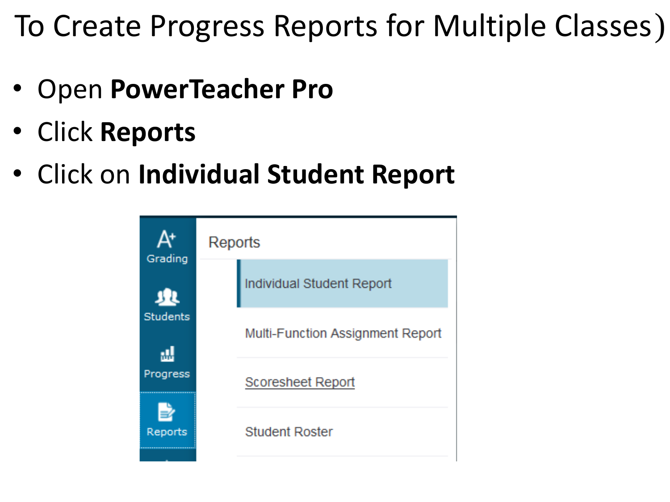- Open **PowerTeacher Pro**
- Click **Reports**
- Click on **Individual Student Report**

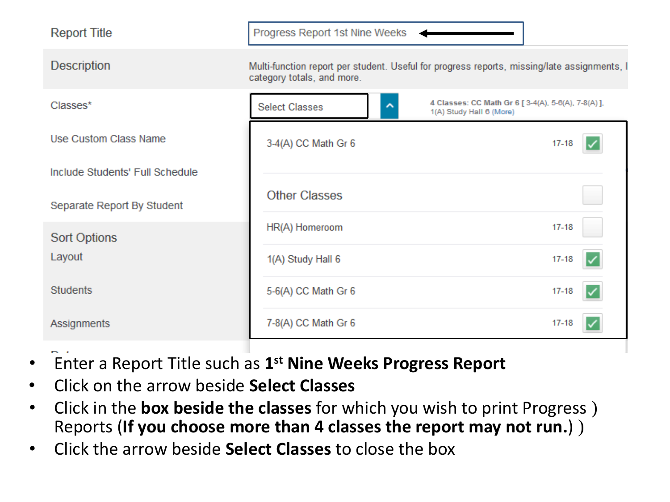| <b>Report Title</b>             | Progress Report 1st Nine Weeks |                                                                                             |
|---------------------------------|--------------------------------|---------------------------------------------------------------------------------------------|
| <b>Description</b>              | category totals, and more.     | Multi-function report per student. Useful for progress reports, missing/late assignments, I |
| Classes*                        | <b>Select Classes</b><br>⌒     | 4 Classes: CC Math Gr 6 [ 3-4(A), 5-6(A), 7-8(A) ],<br>1(A) Study Hall 6 (More)             |
| Use Custom Class Name           | 3-4(A) CC Math Gr 6            | 17-18                                                                                       |
| Include Students' Full Schedule |                                |                                                                                             |
| Separate Report By Student      | <b>Other Classes</b>           |                                                                                             |
| <b>Sort Options</b>             | HR(A) Homeroom                 | $17 - 18$                                                                                   |
| Layout                          | 1(A) Study Hall 6              | $17 - 18$                                                                                   |
| <b>Students</b>                 | 5-6(A) CC Math Gr 6            | $17 - 18$                                                                                   |
| Assignments                     | 7-8(A) CC Math Gr 6            | $17 - 18$                                                                                   |

- Enter a Report Title such as **1st Nine Weeks Progress Report**
- Click on the arrow beside **Select Classes**
- • Click in the **box beside the classes** for which you wish to print Progress ) Reports (**If you choose more than 4 classes the report may not run.**) )
- Click the arrow beside **Select Classes** to close the box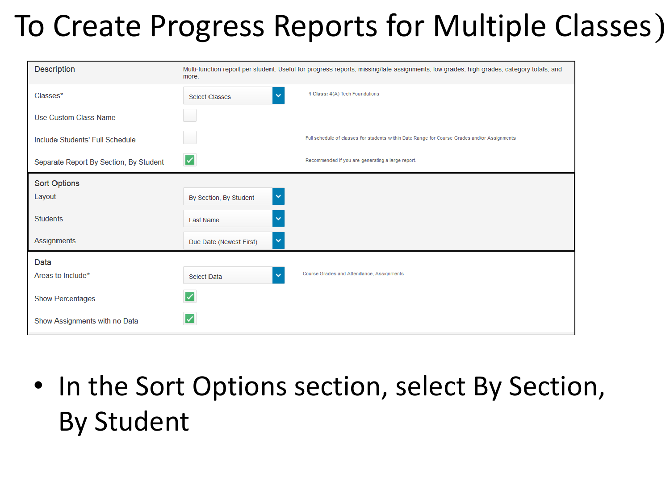| Description                            | more.                                   | Multi-function report per student. Useful for progress reports, missing/late assignments, low grades, high grades, category totals, and |
|----------------------------------------|-----------------------------------------|-----------------------------------------------------------------------------------------------------------------------------------------|
| Classes*                               | $\checkmark$<br><b>Select Classes</b>   | 1 Class: 4(A) Tech Foundations                                                                                                          |
| Use Custom Class Name                  |                                         |                                                                                                                                         |
| Include Students' Full Schedule        |                                         | Full schedule of classes for students within Date Range for Course Grades and/or Assignments                                            |
| Separate Report By Section, By Student | ⊻                                       | Recommended if you are generating a large report.                                                                                       |
| Sort Options                           |                                         |                                                                                                                                         |
| Layout                                 | $\checkmark$<br>By Section, By Student  |                                                                                                                                         |
| <b>Students</b>                        | $\checkmark$<br>Last Name               |                                                                                                                                         |
| <b>Assignments</b>                     | $\checkmark$<br>Due Date (Newest First) |                                                                                                                                         |
| Data                                   |                                         |                                                                                                                                         |
| Areas to Include*                      | $\checkmark$<br>Select Data             | Course Grades and Attendance, Assignments                                                                                               |
| <b>Show Percentages</b>                | ✓                                       |                                                                                                                                         |
| Show Assignments with no Data          |                                         |                                                                                                                                         |

 • In the Sort Options section, select By Section, By Student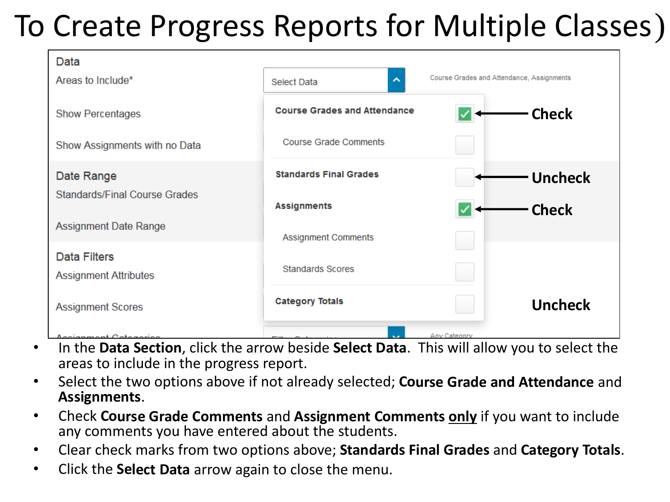

- • In the **Data Section**, click the arrow beside **Select Data**. This will allow you to select the areas to include in the progress report.
- • Select the two options above if not already selected; **Course Grade and Attendance** and **Assignments**.
- • Check **Course Grade Comments** and **Assignment Comments only** if you want to include any comments you have entered about the students.
- • Clear check marks from two options above; **Standards Final Grades** and **Category Totals**.
- • Click the **Select Data** arrow again to close the menu.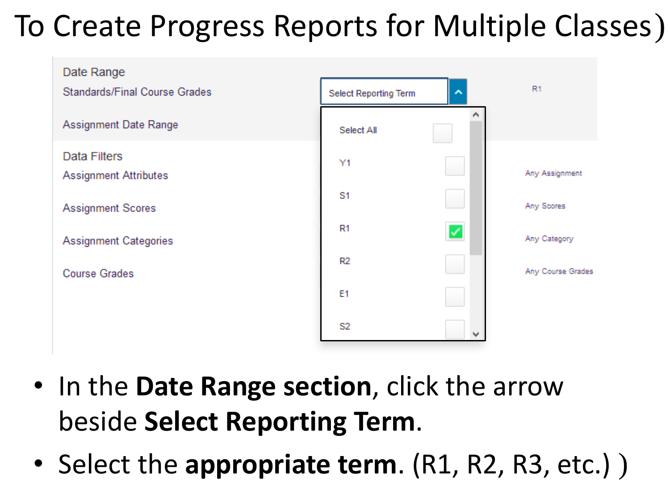

- • In the **Date Range section**, click the arrow  beside **Select Reporting Term**.
- Select the appropriate term. (R1, R2, R3, etc.) )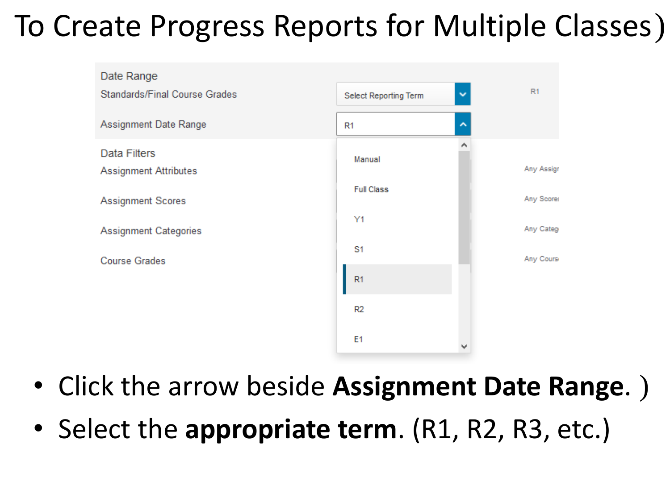

- Click the arrow beside **Assignment Date Range**. )
- Select the **appropriate term**. (R1, R2, R3, etc.)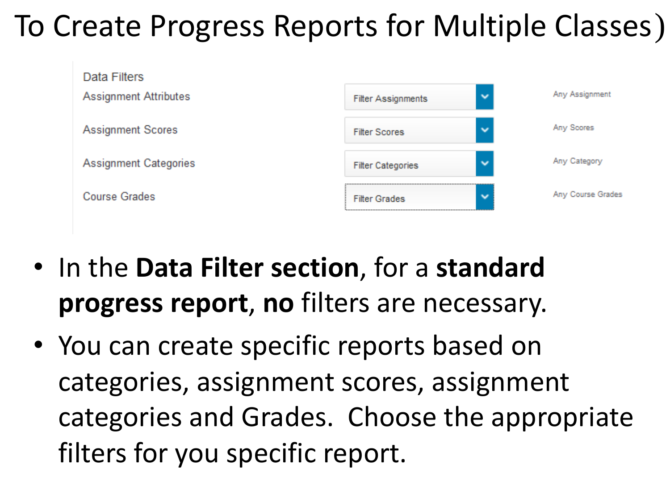

- • In the **Data Filter section**, for a **standard progress report**, **no** filters are necessary.
- • You can create specific reports based on categories and Grades. Choose the appropriate filters for you specific report. categories, assignment scores, assignment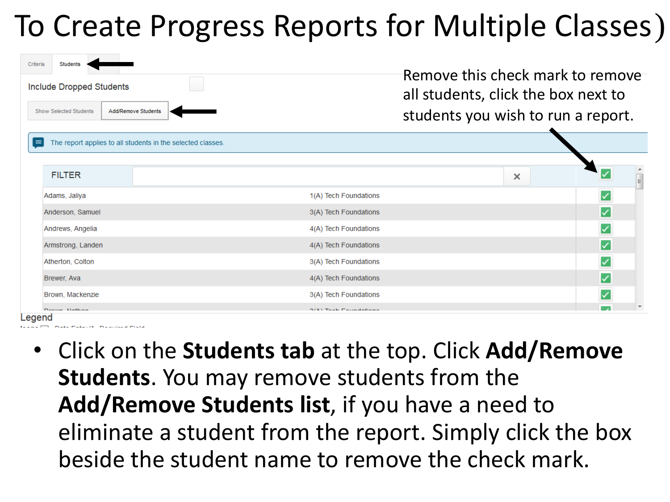| Criteria | Students<br><b>Include Dropped Students</b><br><b>Show Selected Students</b> | Add/Remove Students                                         |                              | Remove this check mark to remove<br>all students, click the box next to<br>students you wish to run a report. |  |          |
|----------|------------------------------------------------------------------------------|-------------------------------------------------------------|------------------------------|---------------------------------------------------------------------------------------------------------------|--|----------|
| $=$      |                                                                              | The report applies to all students in the selected classes. |                              |                                                                                                               |  |          |
|          | <b>FILTER</b>                                                                |                                                             |                              | $\times$                                                                                                      |  | $\equiv$ |
|          | Adams, Jaliya                                                                |                                                             | 1(A) Tech Foundations        |                                                                                                               |  |          |
|          | Anderson, Samuel                                                             |                                                             | 3(A) Tech Foundations        |                                                                                                               |  |          |
|          | Andrews, Angelia                                                             |                                                             | 4(A) Tech Foundations        |                                                                                                               |  |          |
|          | Armstrong, Landen                                                            |                                                             | 4(A) Tech Foundations        |                                                                                                               |  |          |
|          | Atherton, Colton                                                             |                                                             | 3(A) Tech Foundations        |                                                                                                               |  |          |
|          | Brewer, Ava                                                                  |                                                             | 4(A) Tech Foundations        |                                                                                                               |  |          |
|          | Brown, Mackenzie                                                             |                                                             | 3(A) Tech Foundations        |                                                                                                               |  |          |
| .egend   | Dealing Mathan                                                               |                                                             | <b>0/6) Task Equadations</b> |                                                                                                               |  |          |

- - • Click on the **Students tab** at the top. Click **Add/Remove Students**. You may remove students from the  **Add/Remove Students list**, if you have a need to eliminate a student from the report. Simply click the box beside the student name to remove the check mark.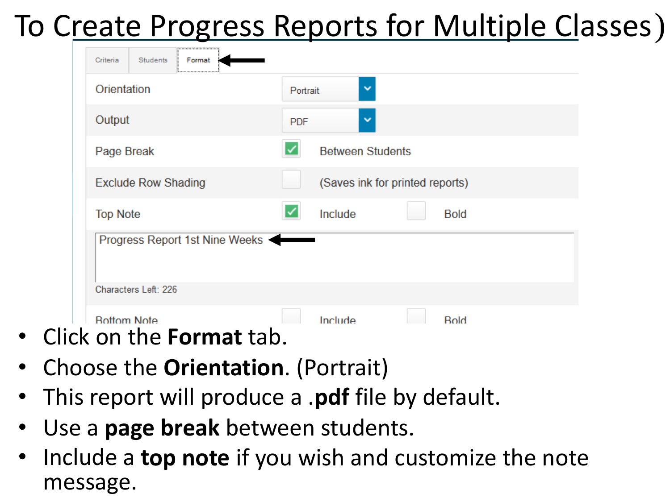| <br><b>Students</b><br>Format<br>Criteria          |                                 |
|----------------------------------------------------|---------------------------------|
| Orientation                                        | $\checkmark$<br>Portrait        |
| Output                                             | $\checkmark$<br><b>PDF</b>      |
| Page Break                                         | <b>Between Students</b>         |
| <b>Exclude Row Shading</b>                         | (Saves ink for printed reports) |
| <b>Top Note</b>                                    | Include<br><b>Bold</b>          |
| Progress Report 1st Nine Weeks                     |                                 |
| Characters Left: 226                               |                                 |
| <b>Bottom Note</b><br>on the <b>Ferment</b><br>+~ト | Include<br><b>Bold</b>          |

- • Click on the **Format** tab.
- • Choose the **Orientation**. (Portrait)
- • This report will produce a .**pdf** file by default.
- • Use a **page break** between students.
- • Include a **top note** if you wish and customize the note message.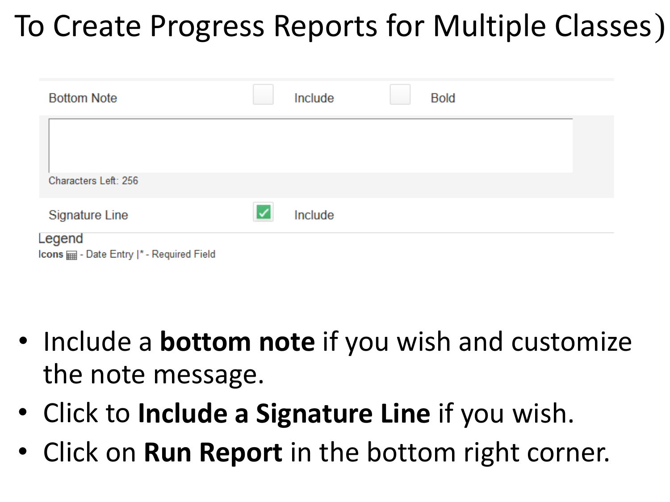| <b>Bottom Note</b>                                  |   | Include | <b>Bold</b> |  |
|-----------------------------------------------------|---|---------|-------------|--|
|                                                     |   |         |             |  |
| Characters Left: 256                                |   |         |             |  |
| <b>Signature Line</b>                               | ✓ | Include |             |  |
| Legend<br>cons man - Date Entry  * - Required Field |   |         |             |  |

- • Include a **bottom note** if you wish and customize the note message.
- • Click to **Include a Signature Line** if you wish.
- • Click on **Run Report** in the bottom right corner.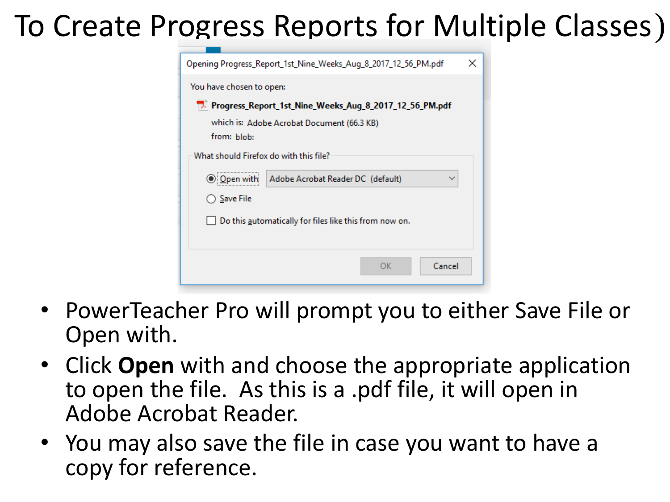| Opening Progress_Report_1st_Nine_Weeks_Aug_8_2017_12_56_PM.pdf | $\times$ |
|----------------------------------------------------------------|----------|
| You have chosen to open:                                       |          |
| 7. Progress_Report_1st_Nine_Weeks_Aug_8_2017_12_56_PM.pdf      |          |
| which is: Adobe Acrobat Document (66.3 KB)                     |          |
| from: blob:                                                    |          |
| What should Firefox do with this file?                         |          |
| Adobe Acrobat Reader DC (default)<br>$\checkmark$<br>Open with |          |
| Save File                                                      |          |
| Do this automatically for files like this from now on.         |          |
|                                                                |          |
| Cancel<br><b>OK</b>                                            |          |

- • PowerTeacher Pro will prompt you to either Save File or Open with.
- • Click **Open** with and choose the appropriate application to open the file. As this is a .pdf file, it will open in Adobe Acrobat Reader.
- • You may also save the file in case you want to have a copy for reference.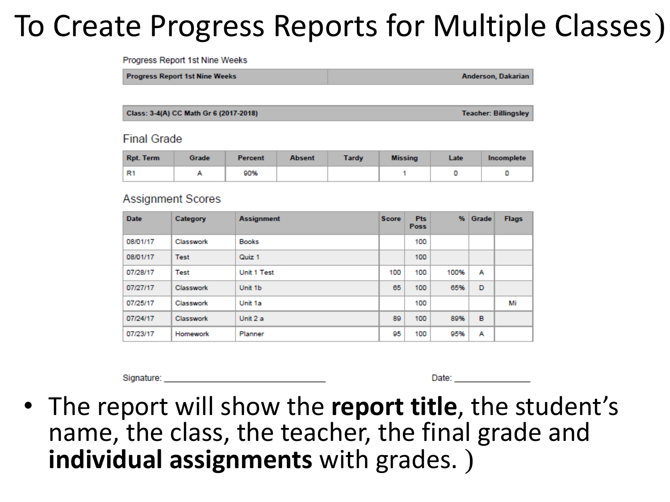Progress Report 1st Nine Weeks

**Progress Report 1st Nine Weeks** 

**Anderson, Dakarian** 

Class: 3-4(A) CC Math Gr 6 (2017-2018)

**Teacher: Billingsley** 

#### **Final Grade**

| <b>Rpt. Term</b> | Grade | Percent | <b>Absent</b> | <b>Tardy</b> | <b>Missing</b> | Late | Incomplete |
|------------------|-------|---------|---------------|--------------|----------------|------|------------|
| R <sub>1</sub>   |       | 90%     |               |              |                |      |            |

#### **Assignment Scores**

| <b>Date</b> | Category  | <b>Assignment</b> | <b>Score</b> | <b>Pts</b><br><b>Poss</b> | %    | Grade | <b>Flags</b> |
|-------------|-----------|-------------------|--------------|---------------------------|------|-------|--------------|
| 08/01/17    | Classwork | <b>Books</b>      |              | 100                       |      |       |              |
| 08/01/17    | Test      | Quiz 1            |              | 100                       |      |       |              |
| 07/28/17    | Test      | Unit 1 Test       | 100          | 100                       | 100% | А     |              |
| 07/27/17    | Classwork | Unit 1b           | 65           | 100                       | 65%  | D     |              |
| 07/25/17    | Classwork | Unit 1a           |              | 100                       |      |       | Mi           |
| 07/24/17    | Classwork | Unit 2 a          | 89           | 100                       | 89%  | B     |              |
| 07/23/17    | Homework  | Planner           | 95           | 100                       | 95%  | А     |              |

Signature:

Date: and the state of the state of the state of the state of the state of the state of the state of the state of the state of the state of the state of the state of the state of the state of the state of the state of the

 • The report will show the **report title**, the student's name, the class, the teacher, the final grade and **individual assignments** with grades. )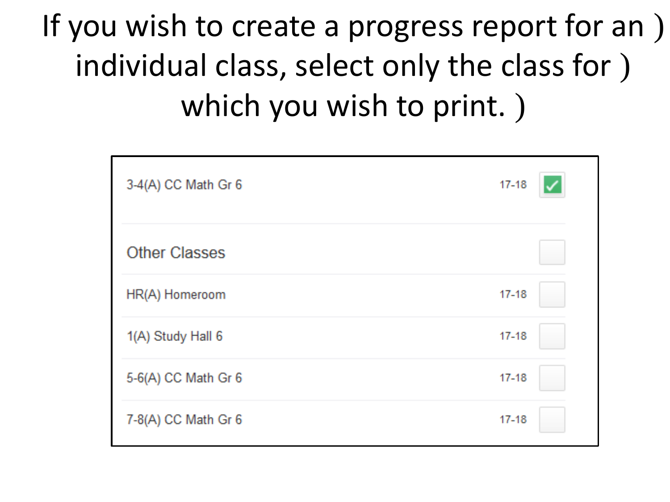If you wish to create a progress report for an ) individual class, select only the class for ) which you wish to print. )

| 3-4(A) CC Math Gr 6  | $17 - 18$ |  |
|----------------------|-----------|--|
| <b>Other Classes</b> |           |  |
| HR(A) Homeroom       | $17 - 18$ |  |
| 1(A) Study Hall 6    | $17 - 18$ |  |
| 5-6(A) CC Math Gr 6  | $17 - 18$ |  |
| 7-8(A) CC Math Gr 6  | $17 - 18$ |  |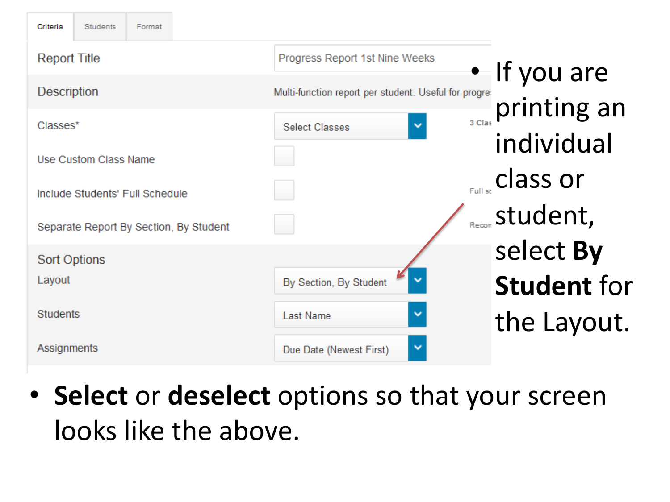| <b>Students</b><br>Criteria<br>Format  |                                                       |                       |
|----------------------------------------|-------------------------------------------------------|-----------------------|
| <b>Report Title</b>                    | Progress Report 1st Nine Weeks                        | $\bullet$ If you are  |
| <b>Description</b>                     | Multi-function report per student. Useful for progre: |                       |
| Classes*                               | 3 Clas<br>$\checkmark$<br><b>Select Classes</b>       | printing an           |
| Use Custom Class Name                  |                                                       | individual            |
| Include Students' Full Schedule        |                                                       | $_{Full sc}$ class or |
| Separate Report By Section, By Student |                                                       | Recon Student,        |
| <b>Sort Options</b>                    |                                                       | select By             |
| Layout                                 | By Section, By Student                                | <b>Student for</b>    |
| <b>Students</b>                        | $\checkmark$<br>Last Name                             | the Layout.           |
| Assignments                            | v<br>Due Date (Newest First)                          |                       |

 looks like the above. • **Select** or **deselect** options so that your screen